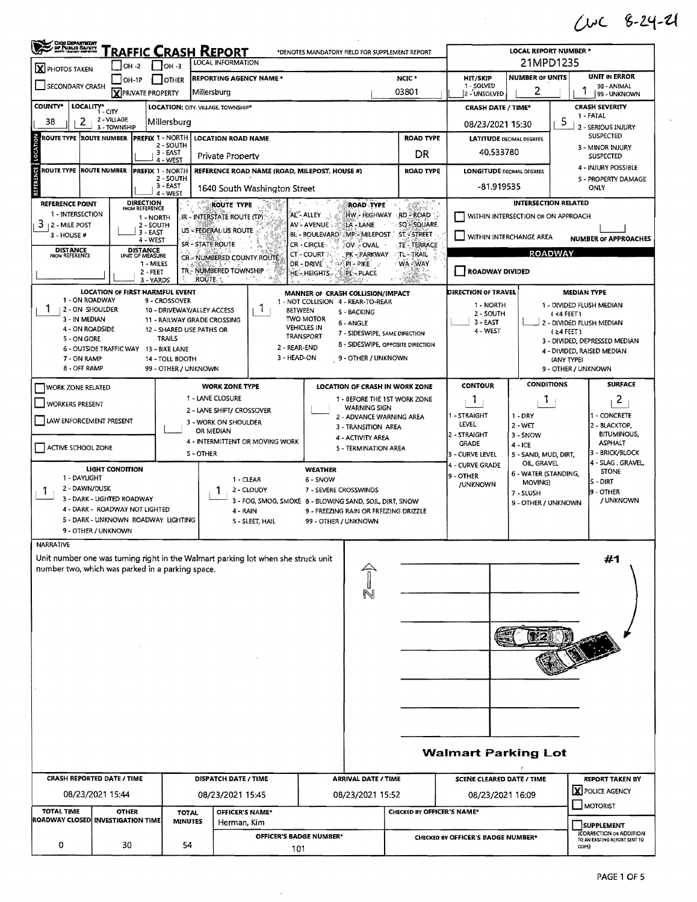CWC 8-24-21

 $\mathcal{A}^{\mathcal{A}}$ 

| OHIO DEPARTMENT<br>DE PUBLIC BAFRIT<br><u>Traffic Crash Report</u><br>*DENOTES MANDATORY FIELD FOR SUPPLEMENT REPORT<br>LOCAL INFORMATION            |                                |                                       |                                             |                               |                                                                                   |                                                                                                                                          |                                                                     |                                  |                                                            |                                                                   | <b>LOCAL REPORT NUMBER *</b><br>21MPD1235 |                                                             |                                      |  |  |  |
|------------------------------------------------------------------------------------------------------------------------------------------------------|--------------------------------|---------------------------------------|---------------------------------------------|-------------------------------|-----------------------------------------------------------------------------------|------------------------------------------------------------------------------------------------------------------------------------------|---------------------------------------------------------------------|----------------------------------|------------------------------------------------------------|-------------------------------------------------------------------|-------------------------------------------|-------------------------------------------------------------|--------------------------------------|--|--|--|
| X PHOTOS TAKEN                                                                                                                                       | OH -2                          | $1$ OH -3                             |                                             | <b>REPORTING AGENCY NAME*</b> |                                                                                   |                                                                                                                                          | <b>NUMBER OF UNITS</b><br>NCIC <sup>*</sup><br><b>HIT/SKIP</b>      |                                  |                                                            |                                                                   | <b>UNIT IN ERROR</b>                      |                                                             |                                      |  |  |  |
| SECONDARY CRASH                                                                                                                                      |                                | $JOH-1P$<br><b>X</b> PRIVATE PROPERTY | <b>I</b> JOTHER                             | Millersburg                   |                                                                                   |                                                                                                                                          |                                                                     | 03801                            | 1 - SOLVED<br>2 - UNSOLVED                                 | 2                                                                 |                                           | 98 - ANIMAL<br>99 - UNKNOWN                                 |                                      |  |  |  |
| COUNTY*<br>LOCALITY*                                                                                                                                 |                                |                                       |                                             |                               | <b>LOCATION: CITY. VILLAGE. TOWNSHIP*</b>                                         |                                                                                                                                          |                                                                     |                                  | <b>CRASH DATE / TIME*</b>                                  |                                                                   |                                           | <b>CRASH SEVERITY</b>                                       |                                      |  |  |  |
| 2<br>38                                                                                                                                              | $-CITY$<br>2 - VILLAGE         |                                       | Millersburg                                 |                               |                                                                                   |                                                                                                                                          |                                                                     |                                  | 08/23/2021 15:30                                           |                                                                   | 5                                         | 1 - FATAL                                                   |                                      |  |  |  |
| ROUTE TYPE  ROUTE NUMBER                                                                                                                             | 3 - TOWNSHIP                   |                                       | <b>PREFIX 1 - NORTH</b>                     |                               | <b>LOCATION ROAD NAME</b>                                                         |                                                                                                                                          |                                                                     | <b>ROAD TYPE</b>                 |                                                            | <b>LATITUDE DECIMAL DEGREES</b>                                   |                                           | - SERIOUS INJURY<br><b>SUSPECTED</b>                        |                                      |  |  |  |
| LOCATION                                                                                                                                             |                                |                                       | 2 - SOUTH<br>$3 - EAST$                     |                               | Private Property                                                                  |                                                                                                                                          |                                                                     |                                  | DR                                                         | 40.533780                                                         |                                           | 3 - MINOR INJURY<br><b>SUSPECTED</b>                        |                                      |  |  |  |
| ROUTE TYPE ROUTE NUMBER                                                                                                                              |                                |                                       | 4 - WEST<br><b>PREFIX 1 - NORTH</b>         |                               | REFERENCE ROAD NAME (ROAD, MILEPOST, HOUSE #)                                     |                                                                                                                                          | <b>ROAD TYPE</b>                                                    | <b>LONGITUDE DECIMAL DEGREES</b> |                                                            |                                                                   | 4 - INJURY POSSIBLE                       |                                                             |                                      |  |  |  |
| REFERENCE                                                                                                                                            |                                |                                       | 2 - SOUTH<br>3-EAST                         |                               |                                                                                   |                                                                                                                                          |                                                                     |                                  |                                                            | -81.919535                                                        |                                           |                                                             | 5 - PROPERTY DAMAGE<br><b>ONLY</b>   |  |  |  |
|                                                                                                                                                      |                                |                                       | 4 - WEST                                    |                               | 1640 South Washington Street                                                      |                                                                                                                                          |                                                                     |                                  |                                                            |                                                                   |                                           |                                                             |                                      |  |  |  |
| REFERENCE POINT<br>1 - INTERSECTION                                                                                                                  |                                | DIRECTION<br>FROM REFERENCE           | 1 - NORTH                                   |                               | ROUTE TYPE<br>IR - INTERSTATE ROUTE (TP)                                          | <b>INTERSECTION RELATED</b><br>:81.<br><b>ROAD TYPE</b><br>AL"- ALLEY<br>HW - HIGHWAY<br>RD - ROAD<br>WITHIN INTERSECTION OR ON APPROACH |                                                                     |                                  |                                                            |                                                                   |                                           |                                                             |                                      |  |  |  |
| 3<br><b>2 - MILE POST</b>                                                                                                                            |                                | 2 - SOUTH<br>3 - EAST                 |                                             |                               | US - FEDERAL US ROUTE                                                             | AV - AVENUE                                                                                                                              | LA-LANE                                                             |                                  | SQ-SQUARE                                                  |                                                                   |                                           |                                                             |                                      |  |  |  |
| 3 - HOUSE #                                                                                                                                          |                                | 4 - WEST                              |                                             | SR - STATE ROUTE              |                                                                                   | BL - BOULEVARD<br><b>CR-CIRCLE</b>                                                                                                       | MP-MILEPOST ST-STREET<br>OV-OVAL                                    |                                  | TE - TERRACE                                               | WITHIN INTERCHANGE AREA<br><b>NUMBER OF APPROACHES</b>            |                                           |                                                             |                                      |  |  |  |
| <b>DISTANCE</b><br>FROM REFERENCE                                                                                                                    |                                | <b>DISTANCE</b><br>UNIT OF MEASURE    |                                             |                               | <b>CT-COURT</b><br>CR-NUMBERED COUNTY ROUTE                                       | PK - PARKWAY                                                                                                                             | <b>TL-TRAIL</b>                                                     | <b>ROADWAY</b>                   |                                                            |                                                                   |                                           |                                                             |                                      |  |  |  |
| WA-WAY<br>DR - DRIVE<br>1 - MILES<br>PI-PIKE<br>TR - NUMBERED TOWNSHIP<br><b>ROADWAY DIVIDED</b><br>$2 - FEET$<br>HE-HEIGHTS<br>PL-PLACE<br>M        |                                |                                       |                                             |                               |                                                                                   |                                                                                                                                          |                                                                     |                                  |                                                            |                                                                   |                                           |                                                             |                                      |  |  |  |
| <b>ROUTE</b><br>3 - YARDS<br><b>LOCATION OF FIRST HARMFUL EVENT</b><br>DIRECTION OF TRAVEL<br><b>MEDIAN TYPE</b><br>MANNER OF CRASH COLLISION/IMPACT |                                |                                       |                                             |                               |                                                                                   |                                                                                                                                          |                                                                     |                                  |                                                            |                                                                   |                                           |                                                             |                                      |  |  |  |
| 1 - ON ROADWAY<br>1<br>2 - ON SHOULDER                                                                                                               |                                |                                       | 9 - CROSSOVER<br>10 - DRIVEWAY/ALLEY ACCESS |                               | <sup>1</sup><br><b>BETWEEN</b>                                                    | 1 - NOT COLLISION 4 - REAR-TO-REAR                                                                                                       |                                                                     |                                  |                                                            | 1 NORTH                                                           |                                           |                                                             | 1 - DIVIDED FLUSH MEDIAN             |  |  |  |
| 3 - IN MEDIAN                                                                                                                                        |                                |                                       | 11 - RAILWAY GRADE CROSSING                 |                               |                                                                                   | <b>TWO MOTOR</b>                                                                                                                         | 5 - BACKING<br>6 - ANGLE                                            |                                  |                                                            | 2 - SOUTH<br>3 - EAST                                             |                                           | (4 FEET)                                                    | 2 - DIVIDED FLUSH MEDIAN             |  |  |  |
| 4 - ON ROADSIDE<br>5 - ON GORE                                                                                                                       |                                |                                       | 12 - SHARED USE PATHS OR<br><b>TRAILS</b>   |                               |                                                                                   | <b>VEHICLES IN</b><br><b>TRANSPORT</b>                                                                                                   | 7 - SIDESWIPE, SAME DIRECTION                                       |                                  |                                                            | 4 - WEST                                                          |                                           | (24 FEET)                                                   |                                      |  |  |  |
|                                                                                                                                                      |                                |                                       | 6 - OUTSIDE TRAFFIC WAY 13 - BIKE LANE      |                               | 2 - REAR-END                                                                      |                                                                                                                                          | 8 - SIDESWIPE, OPPOSITE DIRECTION                                   |                                  |                                                            |                                                                   |                                           | 3 - DIVIDED, DEPRESSED MEDIAN<br>4 - DIVIDED, RAISED MEDIAN |                                      |  |  |  |
| 7 - ON RAMP<br>8 - OFF RAMP                                                                                                                          |                                |                                       | 14 - TOLL BOOTH<br>99 - OTHER / UNKNOWN     |                               | 3 - HEAD-ON                                                                       |                                                                                                                                          | 9 - OTHER / UNKNOWN                                                 |                                  |                                                            |                                                                   |                                           | (ANY TYPE)<br>9 - OTHER / UNKNOWN                           |                                      |  |  |  |
|                                                                                                                                                      |                                |                                       |                                             |                               | <b>WORK ZONE TYPE</b>                                                             |                                                                                                                                          | LOCATION OF CRASH IN WORK ZONE                                      |                                  |                                                            | CONTOUR                                                           | <b>CONDITIONS</b>                         |                                                             | <b>SURFACE</b>                       |  |  |  |
| <b>WORK ZONE RELATED</b>                                                                                                                             |                                |                                       |                                             | 1 - LANE CLOSURE              |                                                                                   |                                                                                                                                          | 1 - BEFORE THE 1ST WORK ZONE                                        |                                  |                                                            | $\mathbf{1}$                                                      | Т.                                        | 2                                                           |                                      |  |  |  |
| <b>WORKERS PRESENT</b>                                                                                                                               |                                |                                       |                                             |                               | 2 - LANE SHIFT/ CROSSOVER                                                         |                                                                                                                                          | <b>WARNING SIGN</b><br>2 - ADVANCE WARNING AREA                     |                                  |                                                            | 1 - STRAIGHT                                                      | $1 - DRY$                                 |                                                             | - CONCRETE                           |  |  |  |
| LAW ENFORCEMENT PRESENT                                                                                                                              |                                |                                       |                                             | OR MEDIAN                     | 3 - WORK ON SHOULDER                                                              |                                                                                                                                          | <b>LEVEL</b><br>2 - WET<br>3 - TRANSITION AREA                      |                                  |                                                            |                                                                   |                                           | 2 - BLACKTOP,                                               |                                      |  |  |  |
|                                                                                                                                                      |                                |                                       |                                             |                               | 4 - INTERMITTENT OR MOVING WORK                                                   |                                                                                                                                          | 4 - ACTIVITY AREA                                                   |                                  |                                                            | 2 - STRAIGHT<br><b>GRADE</b>                                      | 3 - SNOW<br>$4 - ICE$                     |                                                             | <b>BITUMINOUS,</b><br><b>ASPHALT</b> |  |  |  |
| ACTIVE SCHOOL ZONE                                                                                                                                   |                                |                                       |                                             | S-OTHER                       |                                                                                   |                                                                                                                                          | 5 - TERMINATION AREA                                                |                                  | 3 - BRICK/BLOCK<br>3 - CURVE LEVEL<br>5 - SAND, MUD, DIRT, |                                                                   |                                           |                                                             |                                      |  |  |  |
|                                                                                                                                                      | LIGHT CONDITION                |                                       |                                             |                               |                                                                                   | <b>WEATHER</b>                                                                                                                           | OIL, GRAVEL<br>4 - CURVE GRADE<br>6 - WATER (STANDING,<br>9 - OTHER |                                  |                                                            |                                                                   |                                           | 4 - SLAG, GRAVEL,<br><b>STONE</b>                           |                                      |  |  |  |
| 1 - DAYLIGHT<br>2 - DAWN/DUSK<br>1                                                                                                                   |                                |                                       |                                             |                               | 1 - CLEAR<br>2 - CLOUDY                                                           | 6 - SNOW<br>7 - SEVERE CROSSWINDS                                                                                                        | MOVING)<br>/UNKNOWN<br>7 - SLUSH                                    |                                  |                                                            |                                                                   |                                           | <b>S</b> - DIRT<br>9 - OTHER                                |                                      |  |  |  |
|                                                                                                                                                      | 3 - DARK - LIGHTED ROADWAY     |                                       |                                             |                               |                                                                                   |                                                                                                                                          | 3 - FOG, SMOG, SMOKE 8 - BLOWING SAND, SOIL, DIRT, SNOW             |                                  |                                                            |                                                                   | 9 - OTHER / UNKNOWN                       |                                                             | / UNKNOWN                            |  |  |  |
|                                                                                                                                                      | 4 - DARK - ROADWAY NOT LIGHTED |                                       | 5 - DARK - UNKNOWN ROADWAY LIGHTING         |                               | 4 - RAIN<br>5 - SLEET, HAIL                                                       | 99 - OTHER / UNKNOWN                                                                                                                     | 9 - FREEZING RAIN OR FREEZING DRIZZLE                               |                                  |                                                            |                                                                   |                                           |                                                             |                                      |  |  |  |
|                                                                                                                                                      | 9 - OTHER / UNKNOWN            |                                       |                                             |                               |                                                                                   |                                                                                                                                          |                                                                     |                                  |                                                            |                                                                   |                                           |                                                             |                                      |  |  |  |
| NARRATIVE                                                                                                                                            |                                |                                       |                                             |                               |                                                                                   |                                                                                                                                          |                                                                     |                                  |                                                            |                                                                   |                                           |                                                             |                                      |  |  |  |
|                                                                                                                                                      |                                |                                       |                                             |                               | Unit number one was turning right in the Walmart parking lot when she struck unit |                                                                                                                                          |                                                                     |                                  |                                                            |                                                                   |                                           |                                                             | #1                                   |  |  |  |
| number two, which was parked in a parking space.                                                                                                     |                                |                                       |                                             |                               |                                                                                   |                                                                                                                                          |                                                                     |                                  |                                                            |                                                                   |                                           |                                                             |                                      |  |  |  |
|                                                                                                                                                      |                                |                                       |                                             |                               |                                                                                   |                                                                                                                                          |                                                                     |                                  |                                                            |                                                                   |                                           |                                                             |                                      |  |  |  |
|                                                                                                                                                      |                                |                                       |                                             |                               |                                                                                   |                                                                                                                                          |                                                                     |                                  |                                                            |                                                                   |                                           |                                                             |                                      |  |  |  |
|                                                                                                                                                      |                                |                                       |                                             |                               |                                                                                   |                                                                                                                                          |                                                                     |                                  |                                                            |                                                                   |                                           |                                                             |                                      |  |  |  |
|                                                                                                                                                      |                                |                                       |                                             |                               |                                                                                   |                                                                                                                                          |                                                                     |                                  |                                                            |                                                                   |                                           |                                                             |                                      |  |  |  |
|                                                                                                                                                      |                                |                                       |                                             |                               |                                                                                   |                                                                                                                                          |                                                                     |                                  |                                                            |                                                                   |                                           |                                                             |                                      |  |  |  |
|                                                                                                                                                      |                                |                                       |                                             |                               |                                                                                   |                                                                                                                                          |                                                                     |                                  |                                                            |                                                                   |                                           |                                                             |                                      |  |  |  |
|                                                                                                                                                      |                                |                                       |                                             |                               |                                                                                   |                                                                                                                                          |                                                                     |                                  |                                                            |                                                                   |                                           |                                                             |                                      |  |  |  |
|                                                                                                                                                      |                                |                                       |                                             |                               |                                                                                   |                                                                                                                                          |                                                                     |                                  |                                                            |                                                                   |                                           |                                                             |                                      |  |  |  |
|                                                                                                                                                      |                                |                                       |                                             |                               |                                                                                   |                                                                                                                                          |                                                                     |                                  |                                                            |                                                                   |                                           |                                                             |                                      |  |  |  |
|                                                                                                                                                      |                                |                                       |                                             |                               |                                                                                   |                                                                                                                                          |                                                                     |                                  |                                                            |                                                                   |                                           |                                                             |                                      |  |  |  |
|                                                                                                                                                      |                                |                                       |                                             |                               |                                                                                   |                                                                                                                                          |                                                                     |                                  |                                                            |                                                                   |                                           |                                                             |                                      |  |  |  |
|                                                                                                                                                      |                                |                                       |                                             |                               |                                                                                   |                                                                                                                                          |                                                                     |                                  |                                                            | <b>Walmart Parking Lot</b>                                        |                                           |                                                             |                                      |  |  |  |
| <b>CRASH REPORTED DATE / TIME</b>                                                                                                                    |                                |                                       | DISPATCH DATE / TIME                        |                               | <b>ARRIVAL DATE / TIME</b>                                                        |                                                                                                                                          |                                                                     | <b>SCENE CLEARED DATE / TIME</b> |                                                            |                                                                   | <b>REPORT TAKEN BY</b>                    |                                                             |                                      |  |  |  |
|                                                                                                                                                      | 08/23/2021 15:44               |                                       |                                             |                               | 08/23/2021 15:45                                                                  |                                                                                                                                          | 08/23/2021 15:52                                                    |                                  |                                                            | 08/23/2021 16:09                                                  |                                           |                                                             | Y POLICE AGENCY                      |  |  |  |
| <b>TOTAL TIME</b>                                                                                                                                    |                                | <b>OTHER</b>                          | <b>TOTAL</b>                                |                               | OFFICER'S NAME*                                                                   |                                                                                                                                          |                                                                     |                                  | CHECKED BY OFFICER'S NAME*                                 |                                                                   | MOTORIST                                  |                                                             |                                      |  |  |  |
| ROADWAY CLOSED INVESTIGATION TIME                                                                                                                    |                                |                                       | <b>MINUTES</b>                              |                               | Herman, Kim                                                                       |                                                                                                                                          |                                                                     |                                  |                                                            |                                                                   |                                           |                                                             | SUPPLEMENT                           |  |  |  |
| 0                                                                                                                                                    |                                | 54                                    |                                             |                               | <b>OFFICER'S BADGE NUMBER*</b>                                                    |                                                                                                                                          |                                                                     |                                  | CHECKED BY OFFICER'S BADGE NUMBER*                         | (CORRECTION OR ADDITION<br>TO AN EXISTING REPORT SENT TO<br>ODPS) |                                           |                                                             |                                      |  |  |  |
| 30<br>101                                                                                                                                            |                                |                                       |                                             |                               |                                                                                   |                                                                                                                                          |                                                                     |                                  |                                                            |                                                                   |                                           |                                                             |                                      |  |  |  |

 $\sim$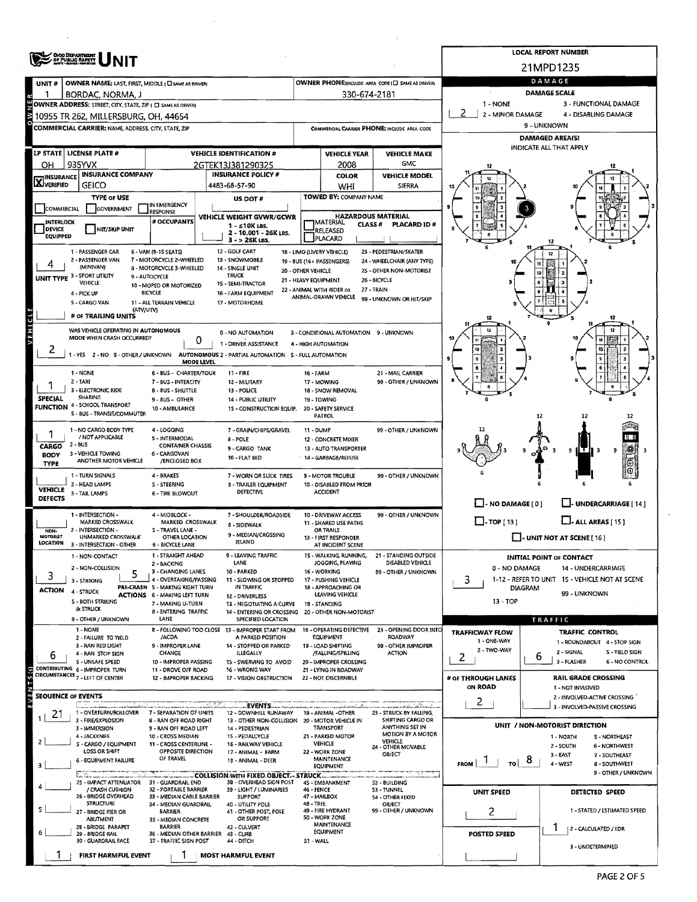|                                                                                                                                                 | OHO DEPARTMENT                                                                           |                                                                      | <b>LOCAL REPORT NUMBER</b>                  |                                                                         |                                                                         |                                                   |                                                       |                                                          |                                                                      |  |  |  |  |  |
|-------------------------------------------------------------------------------------------------------------------------------------------------|------------------------------------------------------------------------------------------|----------------------------------------------------------------------|---------------------------------------------|-------------------------------------------------------------------------|-------------------------------------------------------------------------|---------------------------------------------------|-------------------------------------------------------|----------------------------------------------------------|----------------------------------------------------------------------|--|--|--|--|--|
|                                                                                                                                                 |                                                                                          |                                                                      |                                             |                                                                         |                                                                         |                                                   |                                                       |                                                          | 21MPD1235                                                            |  |  |  |  |  |
| UNIT#                                                                                                                                           | OWNER NAME: LAST, FIRST, MIDDLE ( La SAME AS ORIVER)                                     |                                                                      |                                             |                                                                         |                                                                         |                                                   | OWNER PHONE; INCLUDE AREA CODE (E) SAME AS DRIVERY    | DAMAGE                                                   |                                                                      |  |  |  |  |  |
|                                                                                                                                                 | BORDAC, NORMA, J                                                                         |                                                                      |                                             |                                                                         |                                                                         | 330-674-2181                                      |                                                       | <b>DAMAGE SCALE</b><br>1 - NONE<br>3 - FUNCTIONAL DAMAGE |                                                                      |  |  |  |  |  |
| OWNER ADDRESS: STREET, CITY, STATE, ZIP ( C SAME AS DRIVER)<br>2 - MINOR DAMAGE<br>4 - DISABLING DAMAGE<br>10955 TR 262, MILLERSBURG, OH, 44654 |                                                                                          |                                                                      |                                             |                                                                         |                                                                         |                                                   |                                                       |                                                          |                                                                      |  |  |  |  |  |
|                                                                                                                                                 | COMMERCIAL CARRIER: NAME, ADDRESS, CITY, STATE, ZIP                                      |                                                                      | COMMERCIAL CARRIER PHONE: INCLUDE AREA CODE | 9 - UNKNOWN                                                             |                                                                         |                                                   |                                                       |                                                          |                                                                      |  |  |  |  |  |
|                                                                                                                                                 |                                                                                          |                                                                      |                                             | <b>DAMAGED AREA(S)</b>                                                  |                                                                         |                                                   |                                                       |                                                          |                                                                      |  |  |  |  |  |
|                                                                                                                                                 | LP STATE LICENSE PLATE #                                                                 |                                                                      |                                             | <b>VEHICLE IDENTIFICATION #</b>                                         |                                                                         | <b>VEHICLE YEAR</b>                               | <b>VEHICLE MAKE</b>                                   |                                                          | INDICATE ALL THAT APPLY                                              |  |  |  |  |  |
| ОН                                                                                                                                              | 935YVX<br><b>INSURANCE COMPANY</b>                                                       |                                                                      |                                             | 2GTEK13J381290325<br><b>INSURANCE POLICY #</b>                          |                                                                         | 2008                                              | GMC<br><b>VEHICLE MODEL</b>                           |                                                          |                                                                      |  |  |  |  |  |
| <b>X</b> INSURANCE                                                                                                                              | <b>GEICO</b>                                                                             |                                                                      |                                             | 4483-68-57-90                                                           |                                                                         | <b>COLOR</b><br>WHI                               | <b>SIERRA</b>                                         |                                                          |                                                                      |  |  |  |  |  |
|                                                                                                                                                 | <b>TYPE OF USE</b>                                                                       |                                                                      |                                             | US DOT #                                                                |                                                                         | TOWED BY: COMPANY NAME                            |                                                       |                                                          |                                                                      |  |  |  |  |  |
| COMMERCIAL                                                                                                                                      | <b>GOVERNMENT</b>                                                                        | IN EMERGENCY<br><b>RESPONSE</b>                                      |                                             | VEHICLE WEIGHT GVWR/GCWR                                                | <b>HAZARDOUS MATERIAL</b>                                               |                                                   |                                                       |                                                          |                                                                      |  |  |  |  |  |
| <b>INTERLOCK</b><br><b>DEVICE</b>                                                                                                               | <b>HIT/SKIP UNIT</b>                                                                     | # OCCUPANTS                                                          |                                             | 1 - ≤10K LBS.                                                           | <b>MATERIAL</b><br>CLASS <sup>#</sup><br>PLACARD ID#<br><b>RELEASED</b> |                                                   |                                                       |                                                          |                                                                      |  |  |  |  |  |
| EQUIPPED                                                                                                                                        |                                                                                          |                                                                      |                                             | 2 - 10.001 - 26K LBS.<br>3 - > 26K LBS.                                 |                                                                         | PLACARD                                           |                                                       |                                                          |                                                                      |  |  |  |  |  |
|                                                                                                                                                 | 1 - PASSENGER CAR<br>2 - PASSENGER VAN                                                   | 6 - VAN (9-15 SEATS)<br>7 - MOTORCYCLE 2-WHEELED                     |                                             | 12 - GOLF CART                                                          |                                                                         | 18 - LIMO (LIVERY VEHICLE)                        | 23 - PEDESTRIAN/SKATER                                |                                                          |                                                                      |  |  |  |  |  |
|                                                                                                                                                 | (MINIVAN)                                                                                | 8 - MOTORCYCLE 3-WHEELED                                             |                                             | 13 - SNOWMOBILE<br>14 - SINGLE UNIT                                     | 20 - OTHER VEHICLE                                                      | 19 - BUS (16+ PASSENGERS)                         | 24 - WHEELCHAIR (ANY TYPE)<br>25 - OTHER NON-MOTORIST |                                                          |                                                                      |  |  |  |  |  |
|                                                                                                                                                 | UNIT TYPE 3 - SPORT UTILITY<br>VEHICLE                                                   | 9 - AUTOCYCLE<br>10 - MOPED OR MOTORIZED                             |                                             | <b>TRUCK</b><br>15 - SEMI-TRACTOR                                       | 21 - HEAVY EQUIPMENT                                                    |                                                   | 26 - BICYCLE                                          | i0                                                       |                                                                      |  |  |  |  |  |
|                                                                                                                                                 | 4 - PICK UP                                                                              | <b>BICYCLE</b>                                                       |                                             | 16 - FARM EQUIPMENT                                                     |                                                                         | 22 - ANIMAL WITH RIDER OR<br>ANIMAL-DRAWN VEHICLE | 27 - TRAIN<br>99 - UNKNOWN OR HIT/SKIP                |                                                          |                                                                      |  |  |  |  |  |
|                                                                                                                                                 | 5 - CARGO VAN<br>(ATV/UTV)                                                               | 11 - ALL TERRAIN VEHICLE                                             |                                             | 17 - MOTORHOME                                                          |                                                                         |                                                   |                                                       |                                                          |                                                                      |  |  |  |  |  |
|                                                                                                                                                 | # OF TRAILING UNITS                                                                      |                                                                      |                                             |                                                                         |                                                                         |                                                   |                                                       | 12                                                       | 12                                                                   |  |  |  |  |  |
| VEHICLE                                                                                                                                         | WAS VEHICLE OPERATING IN AUTONOMOUS<br>MODE WHEN CRASH OCCURRED?                         |                                                                      | 0                                           | 0 - NO AUTOMATION                                                       |                                                                         | 3 - CONDITIONAL AUTOMATION 9 - UNKNOWN            |                                                       |                                                          | 12                                                                   |  |  |  |  |  |
| 2                                                                                                                                               | 1 - YES 2 - NO 9 - OTHER / UNKNOWN AUTONOMOUS 2 - PARTIAL AUTOMATION 5 - FULL AUTOMATION |                                                                      |                                             | 1 - DRIVER ASSISTANCE                                                   |                                                                         | 4 - HIGH AUTOMATION                               |                                                       |                                                          |                                                                      |  |  |  |  |  |
|                                                                                                                                                 |                                                                                          |                                                                      | MODE LEVEL                                  |                                                                         |                                                                         |                                                   |                                                       |                                                          |                                                                      |  |  |  |  |  |
|                                                                                                                                                 | 1 - NONE<br>$2 - TAXI$                                                                   | <b>6 - BUS - CHARTER/TOUR</b><br>7 - BUS - INTERCITY                 |                                             | 11 - FIRE<br>12 - MILITARY                                              | 16 - FARM                                                               | 17 - MOWING                                       | 21 - MAIL CARRIER<br>99 - OTHER / UNKNOWN             |                                                          |                                                                      |  |  |  |  |  |
|                                                                                                                                                 | 3 - ELECTRONIC RIDE<br><b>SHARING</b>                                                    | 8 - BUS - SHUTTLE                                                    |                                             | 13 - POLICE                                                             |                                                                         | 18 - SNOW REMOVAL                                 |                                                       |                                                          |                                                                      |  |  |  |  |  |
| <b>SPECIAL</b>                                                                                                                                  | <b>FUNCTION 4 - SCHOOL TRANSPORT</b>                                                     | 9 - 8US - OTHER<br>10 - AMBULANCE                                    |                                             | 14 - PUBLIC UTILITY<br>15 - CONSTRUCTION EQUIP.                         |                                                                         | 19 - TOWING<br>20 - SAFETY SERVICE                |                                                       |                                                          |                                                                      |  |  |  |  |  |
|                                                                                                                                                 | S - BUS - TRANSIT/COMMUTER                                                               |                                                                      |                                             |                                                                         |                                                                         | PATROL                                            |                                                       |                                                          | 12                                                                   |  |  |  |  |  |
|                                                                                                                                                 | 1 - NO CARGO BODY TYPE<br>/ NOT APPLICABLE                                               | 4 - LOGGING<br>5 - INTERMODAL                                        |                                             | 7 - GRAIN/CHIPS/GRAVEL<br>$8 - POLE$                                    | <b>11 - DUMP</b>                                                        | 12 - CONCRETE MIXER                               | 99 - OTHER / UNKNOWN                                  |                                                          |                                                                      |  |  |  |  |  |
| CARGO                                                                                                                                           | $2 - BUS$                                                                                | <b>CONTAINER CHASSIS</b>                                             |                                             | 9 - CARGO TANK                                                          |                                                                         | 13 - AUTO TRANSPORTER                             |                                                       |                                                          | 9<br>9                                                               |  |  |  |  |  |
| <b>BODY</b><br><b>TYPE</b>                                                                                                                      | 3 - VEHICLE TOWING<br>ANOTHER MOTOR VEHICLE                                              | 6 - CARGOVAN<br><b>/ENCLOSED BOX</b>                                 |                                             | 10 - FLAT BED                                                           |                                                                         | 14 - GARBAGE/REFUSE                               |                                                       |                                                          |                                                                      |  |  |  |  |  |
|                                                                                                                                                 | 1 - TURN SIGNALS                                                                         | 4 - BRAKES                                                           |                                             | 7 - WORN OR SLICK TIRES                                                 |                                                                         | 9 - MOTOR TROUBLE                                 | 99 - OTHER / UNKNOWN                                  |                                                          |                                                                      |  |  |  |  |  |
| <b>VEHICLE</b>                                                                                                                                  | 2 - HEAD LAMPS<br>3 - TAIL LAMPS                                                         | 5 - STEERING<br>6 - TIRE BLOWOUT                                     |                                             | <b>B - TRAILER EQUIPMENT</b><br>DEFECTIVE                               |                                                                         | 10 - DISABLED FROM PRIOR<br>ACCIDENT              |                                                       |                                                          |                                                                      |  |  |  |  |  |
| <b>DEFECTS</b>                                                                                                                                  |                                                                                          |                                                                      |                                             |                                                                         |                                                                         |                                                   |                                                       | $\Box$ - NO DAMAGE [ 0 ]                                 | <b>LEI-UNDERCARRIAGE</b> [14]                                        |  |  |  |  |  |
|                                                                                                                                                 | 1 - INTERSECTION -<br>MARKED CROSSWALK                                                   | 4 - MIDBLOCK -<br>MARKED CROSSWALK                                   |                                             | 7 - SHOULDER/ROADSIDE                                                   |                                                                         | 10 - DRIVEWAY ACCESS<br>11 - SHARED USE PATHS     | 99 - OTHER / UNKNOWN                                  | $\Box$ - TOP [ 13 ]                                      | $\Box$ - ALL AREAS [ 15 ]                                            |  |  |  |  |  |
| NON-<br><b>MOTORIST</b>                                                                                                                         | 2 - INTERSECTION -<br>UNMARKED CROSSWALK                                                 | 5 - TRAVEL LANE -<br>OTHER LOCATION                                  |                                             | 8 - SIDEWALK<br>9 - MEDIAN/CROSSING                                     |                                                                         | OR TRAILS<br>12 - FIRST RESPONDER                 |                                                       |                                                          | $\Box$ - UNIT NOT AT SCENE [ 16 ]                                    |  |  |  |  |  |
| LOCATION                                                                                                                                        | 3 - INTERSECTION - OTHER                                                                 | 6 - BICYCLE LANE                                                     |                                             | <b>ISLAND</b>                                                           |                                                                         | AT INCIDENT SCENE                                 |                                                       |                                                          |                                                                      |  |  |  |  |  |
|                                                                                                                                                 | 1 - NON-CONTACT                                                                          | 1 - STRAIGHT AHEAD<br>2 - BACKING                                    |                                             | 9 - LEAVING TRAFFIC<br>LANE                                             |                                                                         | 15 - WALKING, RUNNING,<br>JOGGING, PLAYING        | - STANDING OUTSIDE<br>21<br>DISABLED VEHICLE          |                                                          | <b>INITIAL POINT OF CONTACT</b>                                      |  |  |  |  |  |
| 3                                                                                                                                               | 2 - NON-COLLISION                                                                        | 3 - CHANGING LANES                                                   |                                             | 10 - PARKED<br>11 - SLOWING OR STOPPED                                  | 16 - WORKING<br>99 - OTHER / UNKNOWN                                    |                                                   |                                                       | 0 - NO DAMAGE                                            | 14 - UNDERCARRIAGE<br>1-12 - REFER TO UNIT 15 - VEHICLE NOT AT SCENE |  |  |  |  |  |
| <b>ACTION</b>                                                                                                                                   | 3 - STRIKING<br>4 - STRUCK                                                               | 4 - OVERTAKING/PASSING<br>PRE-CRASH 5 - MAKING RIGHT TURN            |                                             | IN TRAFFIC                                                              |                                                                         | 17 - PUSHING VEHICLE<br>18 - APPROACHING OR       |                                                       | 3                                                        | <b>DIAGRAM</b><br>99 - UNKNOWN                                       |  |  |  |  |  |
|                                                                                                                                                 | 5 - BOTH STRIKING                                                                        | ACTIONS 6 - MAKING LEFT TURN<br>7 - MAKING U-TURN                    |                                             | 12 - DRIVERLESS<br>13 - NEGOTIATING A CURVE                             |                                                                         | LEAVING VEHICLE<br>19 - STANDING                  |                                                       | $13 - TOP$                                               |                                                                      |  |  |  |  |  |
|                                                                                                                                                 | <b>&amp; STRUCK</b><br>9 - OTHER / UNKNOWN                                               | <b>8 - ENTERING TRAFFIC</b><br>LANE                                  |                                             | 14 - ENTERING OR CROSSING 20 - OTHER NON-MOTORIST<br>SPECIFIED LOCATION |                                                                         |                                                   |                                                       |                                                          | TRAFFIC                                                              |  |  |  |  |  |
|                                                                                                                                                 | 1 - NONE                                                                                 |                                                                      |                                             | 8 - FOLLOWING TOO CLOSE 13 - IMPROPER START FROM                        |                                                                         | <b>18 - OPERATING DEFECTIVE</b>                   | 23 - OPENING DOOR INTO                                | TRAFFICWAY FLOW                                          | <b>TRAFFIC CONTROL</b>                                               |  |  |  |  |  |
|                                                                                                                                                 | 2 - FAILURE TO YIELD<br>3 - RAN RED LIGHT                                                | /ACDA<br>9 - IMPROPER LANE                                           |                                             | A PARKED POSITION<br>14 - STOPPED OR PARKED                             |                                                                         | EQUIPMENT<br>19 - LOAD SHIFTING                   | <b>ROADWAY</b><br>99 - OTHER IMPROPER                 | 1 - ONE-WAY<br>2 - TWO-WAY                               | 1 - ROUNDABOUT 4 - STOP 5IGN                                         |  |  |  |  |  |
| 6                                                                                                                                               | 4 - RAN STOP SIGN<br><b>S - UNSAFE SPEED</b>                                             | CHANGE<br>10 - IMPROPER PASSING                                      |                                             | <b>ILLEGALLY</b><br>15 - SWERVING TO AVOID                              |                                                                         | /FALLING/SPILLING<br>20 - IMPROPER CROSSING       | <b>ACTION</b>                                         | 2                                                        | 2 - SIGNAL<br>S - YIELD SIGN<br>6<br>3 - FLASHER<br>6 - NO CONTROL   |  |  |  |  |  |
|                                                                                                                                                 | CONTRIBUTING 6 - IMPROPER TURN<br>CIRCUMSTANCES 7 - LEFT OF CENTER                       | 11 - DROVE OFF ROAD                                                  |                                             | 16 - WRONG WAY                                                          |                                                                         | 21 - LYING IN ROADWAY                             |                                                       |                                                          |                                                                      |  |  |  |  |  |
|                                                                                                                                                 |                                                                                          | 12 - IMPROPER BACKING                                                |                                             | 17 - VISION OBSTRUCTION                                                 |                                                                         | 22 - NOT DISCERNIBLE                              |                                                       | # OF THROUGH LANES<br>ON ROAD                            | RAIL GRADE CROSSING<br>1 - NOT INVLOVED                              |  |  |  |  |  |
|                                                                                                                                                 | <b>SEOUENCE OF EVENTS</b>                                                                |                                                                      |                                             | EVENTS.                                                                 |                                                                         |                                                   | ana ni ndi dalam makambangan sa                       | 2                                                        | 2 - INVOLVED-ACTIVE CROSSING                                         |  |  |  |  |  |
| 21                                                                                                                                              | 1 - OVERTURN/ROLLOVER                                                                    | 7 - SEPARATION OF UNITS                                              |                                             | 12 - DOWNHILL RUNAWAY                                                   |                                                                         | 19 - ANIMAL -OTHER                                | 23 - STRUCK 8Y FALLING,<br>SHIFTING CARGO OR          |                                                          | 3 - INVOLVED-PASSIVE CROSSING                                        |  |  |  |  |  |
|                                                                                                                                                 | 2 - FIRE/EXPLOSION<br>3 - IMMERSION                                                      | 8 - RAN OFF ROAD RIGHT<br>9 - RAN OFF ROAD LEFT                      |                                             | 13 - OTHER NON-COLLISION 20 - MOTOR VEHICLE IN<br>14 - PEDESTRIAN       |                                                                         | TRANSPORT                                         | ANYTHING SET IN                                       |                                                          | UNIT / NON-MOTORIST DIRECTION                                        |  |  |  |  |  |
| 2                                                                                                                                               | 4 - JACKKNIFE<br>S - CARGO / EQUIPMENT                                                   | 10 - CROSS MEDIAN<br>11 - CROSS CENTERLINE -                         |                                             | 15 - PEDALCYCLE<br>16 - RAILWAY VEHICLE                                 |                                                                         | 21 - PARKED MOTOR<br><b>VEHICLE</b>               | MOTION BY A MOTOR<br>VEHICLE<br>24 - OTHER MOVABLE    |                                                          | 1 - NORTH<br>S-NORTHEAST<br>2 - SOUTH<br><b>6 - NORTHWEST</b>        |  |  |  |  |  |
|                                                                                                                                                 | LOSS OR SHIFT<br>6 - EQUIPMENT FAILURE                                                   | OPPOSITE DIRECTION<br>OF TRAVEL                                      |                                             | 17 - ANIMAL - FARM<br>18 - ANIMAL - DEER                                |                                                                         | 22 - WORK ZONE<br>MAINTENANCE                     | OBJECT                                                |                                                          | $3 - EAST$<br>7 - SOUTHEAST<br>ಠ                                     |  |  |  |  |  |
| <b>FROM</b><br>TO I<br>4 - WEST<br><b>EQUIPMENT</b><br>بالمستخلف والمستقرب<br>COLLISION WITH FIXED OBJECT .- STRUCK                             |                                                                                          |                                                                      |                                             |                                                                         |                                                                         |                                                   |                                                       |                                                          | 8 - SOUTHWEST<br>9 - OTHER / UNKNOWN                                 |  |  |  |  |  |
|                                                                                                                                                 | 25 - IMPACT ATTENUATOR                                                                   | 31 - GUARDRAIL END                                                   |                                             | <b>S2 - BUILDING</b>                                                    |                                                                         |                                                   |                                                       |                                                          |                                                                      |  |  |  |  |  |
|                                                                                                                                                 | / CRASH CUSHION<br>26 - BRIDGE OVERHEAD                                                  | 32 - PORTABLE BARRIER<br>33 - MEDIAN CABLE BARRIER                   |                                             | 39 - LIGHT / LUMINARIES<br><b>SUPPORT</b>                               | 46 - FENCE                                                              | 47 - MAILBOX                                      | 53 - TUNNEL<br>54 - OTHER FIXED                       | UNIT SPEED                                               | DETECTED SPEED                                                       |  |  |  |  |  |
|                                                                                                                                                 | <b>STRUCTURE</b><br>27 - BRIDGE PIER OR                                                  | 34 - MEDIAN GUARDRAIL<br>BARRIER                                     | 40 - UTILITY POLE<br>41 - OTHER POST, POLE  | 48 - TREE<br>OBJECT<br>49 - FIRE HYDRANT<br>99 - OTHER / UNKNOWN        |                                                                         |                                                   | 2                                                     | 1 - STATED / ESTIMATED SPEED                             |                                                                      |  |  |  |  |  |
|                                                                                                                                                 | ABUTMENT<br>28 - BRIDGE PARAPET                                                          | OR SUPPORT<br>35 - MEDIAN CONCRETE<br><b>BARRIER</b><br>42 - CULVERT |                                             |                                                                         | <b>50 - WORK ZONE</b><br><b>MAINTENANCE</b>                             |                                                   |                                                       |                                                          | 1<br>2 - CALCULATED / EDR                                            |  |  |  |  |  |
|                                                                                                                                                 | 29 - BRIDGE RAIL<br>30 - GUARDRAIL FACE                                                  | 36 - MEDIAN OTHER BARRIER 43 - CURB<br>37 - TRAFFIC SIGN POST        |                                             | 44 - DITCH                                                              | 51 - WALL                                                               | EQUIPMENT                                         |                                                       | <b>POSTED SPEED</b>                                      |                                                                      |  |  |  |  |  |
|                                                                                                                                                 | <b>FIRST HARMFUL EVENT</b>                                                               | -1                                                                   |                                             | <b>MOST HARMFUL EVENT</b>                                               |                                                                         |                                                   |                                                       |                                                          | 3 - UNDETERMINED                                                     |  |  |  |  |  |
|                                                                                                                                                 |                                                                                          |                                                                      |                                             |                                                                         |                                                                         |                                                   |                                                       |                                                          |                                                                      |  |  |  |  |  |

 $\mathcal{L}$ 

 $\cdot$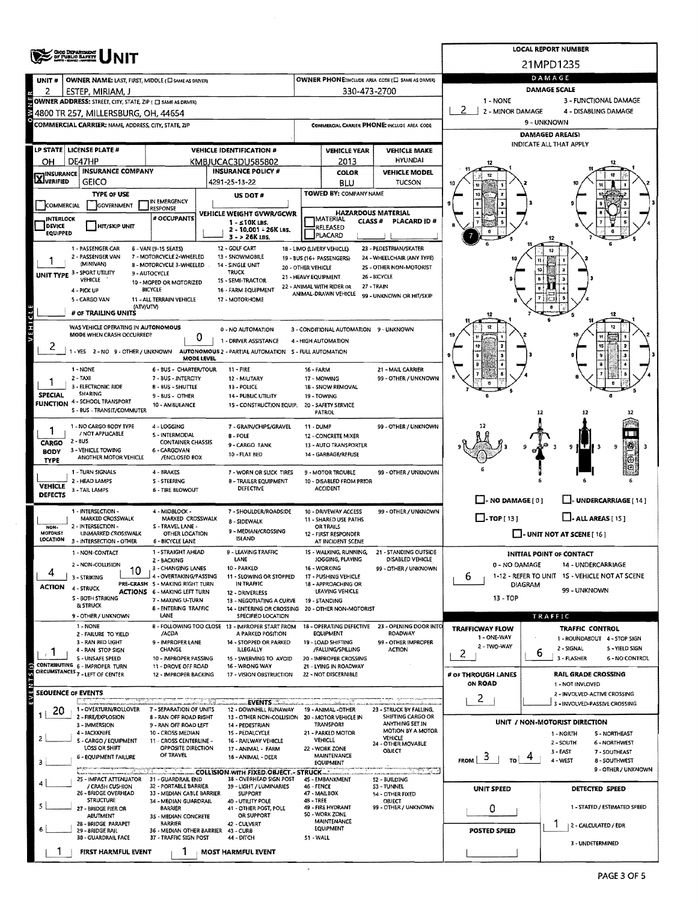|                                                                                                  | <b>CHIO DEPARTMENT</b><br>OF PUBLIC SAFETY                                                                                                   |                                                           | <b>LOCAL REPORT NUMBER</b><br>21MPD1235                                                  |                                                            |                                                   |                                                       |                                       |                                                                  |  |  |  |  |  |
|--------------------------------------------------------------------------------------------------|----------------------------------------------------------------------------------------------------------------------------------------------|-----------------------------------------------------------|------------------------------------------------------------------------------------------|------------------------------------------------------------|---------------------------------------------------|-------------------------------------------------------|---------------------------------------|------------------------------------------------------------------|--|--|--|--|--|
|                                                                                                  |                                                                                                                                              |                                                           |                                                                                          |                                                            |                                                   |                                                       |                                       |                                                                  |  |  |  |  |  |
| UNIT#                                                                                            | OWNER NAME: LAST, FIRST, MIDDLE (C) SAME AS DRIVERY                                                                                          |                                                           | OWNER PHONE:INCLUDE AREA CODE (E) SAME AS DRIVER)                                        | DAMAGE                                                     |                                                   |                                                       |                                       |                                                                  |  |  |  |  |  |
| 2                                                                                                | ESTEP, MIRIAM, J                                                                                                                             |                                                           | 330-473-2700                                                                             | DAMAGE SCALE                                               |                                                   |                                                       |                                       |                                                                  |  |  |  |  |  |
| 1 - NONE<br>3 - FUNCTIONAL DAMAGE<br>OWNER ADDRESS: STREET, CITY, STATE, ZIP ( C SAME AS ORIVER) |                                                                                                                                              |                                                           |                                                                                          |                                                            |                                                   |                                                       |                                       |                                                                  |  |  |  |  |  |
|                                                                                                  | 4800 TR 257, MILLERSBURG, OH, 44654                                                                                                          |                                                           | COMMERCIAL CARRIER PHONE: INCLUDE AREA CODE                                              | 2 - MINOR DAMAGE<br>4 - DISABLING DAMAGE<br>9 - UNKNOWN    |                                                   |                                                       |                                       |                                                                  |  |  |  |  |  |
|                                                                                                  | <b>COMMERCIAL CARRIER: NAME, ADDRESS, CITY, STATE, ZIP</b>                                                                                   |                                                           | DAMAGED AREA(S)                                                                          |                                                            |                                                   |                                                       |                                       |                                                                  |  |  |  |  |  |
|                                                                                                  |                                                                                                                                              |                                                           | INDICATE ALL THAT APPLY                                                                  |                                                            |                                                   |                                                       |                                       |                                                                  |  |  |  |  |  |
| он                                                                                               | LP STATE   LICENSE PLATE #<br>DE47HP                                                                                                         |                                                           | <b>VEHICLE IDENTIFICATION #</b><br>KMBJUCAC3DU585802                                     |                                                            | <b>VEHICLE YEAR</b><br>2013                       | <b>VEHICLE MAKE</b><br><b>HYUNDAI</b>                 |                                       |                                                                  |  |  |  |  |  |
|                                                                                                  | <b>INSURANCE COMPANY</b>                                                                                                                     |                                                           | <b>INSURANCE POLICY #</b>                                                                |                                                            | <b>COLOR</b>                                      | <b>VEHICLE MODEL</b>                                  |                                       |                                                                  |  |  |  |  |  |
| <b>X</b> INSURANCE                                                                               | <b>GEICO</b>                                                                                                                                 |                                                           | 4291-25-13-22                                                                            |                                                            | BLU                                               | <b>TUCSON</b>                                         |                                       |                                                                  |  |  |  |  |  |
|                                                                                                  | TYPE OF USE                                                                                                                                  | IN EMERGENCY                                              | US DOT #                                                                                 |                                                            | <b>TOWED BY: COMPANY NAME</b>                     |                                                       |                                       |                                                                  |  |  |  |  |  |
| <b>COMMERCIAL</b>                                                                                | <b>GOVERNMENT</b>                                                                                                                            | <b>RESPONSE</b>                                           | VEHICLE WEIGHT GVWR/GCWR                                                                 | <b>HAZARDOUS MATERIAL</b>                                  |                                                   |                                                       |                                       |                                                                  |  |  |  |  |  |
| INTERLOCK<br><b>DEVICE</b>                                                                       | <b>HIT/SKIP UNIT</b>                                                                                                                         | # OCCUPANTS                                               | $1 - 510K$ LBS.                                                                          | IMATERIAL<br>CLASS <sup>#</sup><br>PLACARD ID#<br>RELEASED |                                                   |                                                       |                                       |                                                                  |  |  |  |  |  |
| EQUIPPED                                                                                         |                                                                                                                                              |                                                           | 2 - 10.001 - 26K LBS.<br>3 - > 26K LBS.                                                  |                                                            | PLACARD                                           |                                                       |                                       |                                                                  |  |  |  |  |  |
|                                                                                                  | 1 - PASSENGER CAR                                                                                                                            | 6 - VAN (9-15 SEATS)                                      | 12 - GOLF CART                                                                           |                                                            | 18 - LIMO (LIVERY VEHICLE)                        | 23 - PEDESTRIAN/SKATER                                |                                       |                                                                  |  |  |  |  |  |
|                                                                                                  | 2 - PASSENGER VAN<br>(MINIVAN)                                                                                                               | 7 - MOTORCYCLE 2-WHEELED<br>8 - MOTORCYCLE 3-WHEELED      | 13 - SNOWMOBILE<br>14 - SINGLE UNIT                                                      | 20 - OTHER VEHICLE                                         | 19 - BUS (16+ PASSENGERS)                         | 24 - WHEELCHAIR (ANY TYPE)<br>25 - OTHER NON-MOTORIST |                                       |                                                                  |  |  |  |  |  |
|                                                                                                  | UNIT TYPE 3 - SPORT UTILITY<br><b>VEHICLE</b>                                                                                                | 9 - AUTOCYCLE                                             | <b>TRUCK</b><br>15 - SEMI-TRACTOR                                                        | 21 - HEAVY EQUIPMENT                                       |                                                   | 26 - BICYCLE                                          |                                       |                                                                  |  |  |  |  |  |
|                                                                                                  | 4 - PICK UP                                                                                                                                  | 10 - MOPED OR MOTORIZED<br><b>BICYCLE</b>                 | 16 - FARM EQUIPMENT                                                                      |                                                            | 22 - ANIMAL WITH RIDER OR<br>ANIMAL-DRAWN VEHICLE | 27 - TRAIN                                            |                                       |                                                                  |  |  |  |  |  |
|                                                                                                  | 5 - CARGO VAN<br>(ATV/UTV)                                                                                                                   | 11 - ALL TERRAIN VEHICLE                                  | 17 - MOTORHOME                                                                           |                                                            |                                                   | 99 - UNKNOWN OR HIT/SKIP                              |                                       |                                                                  |  |  |  |  |  |
| $\vec{c}$                                                                                        | # OF TRAILING UNITS                                                                                                                          |                                                           |                                                                                          |                                                            |                                                   |                                                       |                                       |                                                                  |  |  |  |  |  |
| <b>NEHI</b>                                                                                      | WAS VEHICLE OPERATING IN AUTONOMOUS                                                                                                          |                                                           | 8 - NO AUTOMATION                                                                        |                                                            | 3 - CONDITIONAL AUTOMATION 9 - UNKNOWN            |                                                       |                                       |                                                                  |  |  |  |  |  |
|                                                                                                  | MODE WHEN CRASH OCCURRED?                                                                                                                    | 0                                                         | 1 - DRIVER ASSISTANCE                                                                    |                                                            | 4 - HIGH AUTOMATION                               |                                                       |                                       |                                                                  |  |  |  |  |  |
| $\epsilon$                                                                                       |                                                                                                                                              | MODE LEVEL                                                | 1 - YES 2 - NO 9 - OTHER / UNKNOWN AUTONOMOUS 2 - PARTIAL AUTOMATION S - FULL AUTOMATION |                                                            |                                                   |                                                       |                                       |                                                                  |  |  |  |  |  |
|                                                                                                  | 1 - NONE                                                                                                                                     | 6 - BUS - CHARTER/TOUR                                    | $11 -$ FIRE                                                                              | <b>16 - FARM</b>                                           |                                                   | 21 - MAIL CARRIER                                     |                                       |                                                                  |  |  |  |  |  |
|                                                                                                  | $2 - TAXI$                                                                                                                                   | 7 - BUS - INTERCITY                                       | 12 - MILITARY                                                                            |                                                            | 17 - MOWING                                       | 99 - OTHER / UNKNOWN                                  |                                       |                                                                  |  |  |  |  |  |
|                                                                                                  | 3 - ELECTRONIC RIDE<br><b>B - BUS - SHUTTLE</b><br>13 - POLICE<br>SHARING<br><b>SPECIAL</b><br>9 - BUS - OTHER<br><b>14 - PUBLIC UTILITY</b> |                                                           |                                                                                          |                                                            | 18 - SNOW REMOVAL<br>19 - TOWING                  |                                                       |                                       |                                                                  |  |  |  |  |  |
|                                                                                                  | <b>FUNCTION 4 - SCHOOL TRANSPORT</b><br>5 - BUS - TRANSIT/COMMUTER                                                                           | 10 - AMBULANCE                                            | 15 - CONSTRUCTION EQUIP.                                                                 |                                                            | 20 - SAFETY SERVICE<br><b>PATROL</b>              |                                                       |                                       | 12<br>12                                                         |  |  |  |  |  |
|                                                                                                  |                                                                                                                                              |                                                           |                                                                                          |                                                            |                                                   |                                                       |                                       |                                                                  |  |  |  |  |  |
| 1                                                                                                | 1 - NO CARGO BODY TYPE<br>/ NOT APPLICABLE                                                                                                   | 4 - LOGGING<br>S - INTERMODAL                             | 7 - GRAIN/CHIPS/GRAVEL<br><b>B-POLE</b>                                                  | <b>11 - DUMP</b>                                           | 12 - CONCRETE MIXER                               | 99 - OTHER / UNKNOWN                                  |                                       |                                                                  |  |  |  |  |  |
| CARGO<br><b>BODY</b>                                                                             | 2 - BUS<br>3 - VEHICLE TOWING                                                                                                                | <b>CONTAINER CHASSIS</b><br>6 - CARGOVAN                  | 9 - CARGO TANK                                                                           |                                                            | 13 - AUTO TRANSPORTER                             |                                                       |                                       |                                                                  |  |  |  |  |  |
| <b>TYPE</b>                                                                                      | ANOTHER MOTOR VEHICLE                                                                                                                        | /ENCLOSED BOX                                             | 10 - FLAT BED                                                                            |                                                            | 14 - GARBAGE/REFUSE                               |                                                       |                                       |                                                                  |  |  |  |  |  |
|                                                                                                  | 1 - TURN SIGNALS                                                                                                                             | 4 - BRAKES                                                | 7 - WORN OR SLICK TIRES                                                                  |                                                            | 9 - MOTOR TROUBLE                                 | 99 - OTHER / UNKNOWN                                  |                                       |                                                                  |  |  |  |  |  |
| <b>VEHICLE</b>                                                                                   | 2 - HEAD LAMPS<br>3 - TAIL LAMPS                                                                                                             | S - STEERING<br><b>6 - TIRE BLOWOUT</b>                   | <b>B - TRAILER EQUIPMENT</b><br><b>DEFECTIVE</b>                                         |                                                            | 10 - DISABLED FROM PRIOR<br><b>ACCIDENT</b>       |                                                       |                                       |                                                                  |  |  |  |  |  |
| <b>DEFECTS</b>                                                                                   |                                                                                                                                              |                                                           |                                                                                          |                                                            |                                                   |                                                       | $\Box$ - NO DAMAGE[0]                 | U-UNDERCARRIAGE [ 14 ]                                           |  |  |  |  |  |
|                                                                                                  | 1 - INTERSECTION -<br>MARKED CROSSWALK                                                                                                       | 4 - MIDBLOCK -<br>MARKED CROSSWALK                        | 7 - SHOULDER/ROADSIDE                                                                    |                                                            | 10 - DRIVEWAY ACCESS<br>11 - SHARED USE PATHS     | 99 - OTHER / UNKNOWN                                  | $\Box$ -TOP[13]                       | $\Box$ - ALL AREAS [ 15 ]                                        |  |  |  |  |  |
| NON-<br><b>MOTORIST</b>                                                                          | 2 - INTERSECTION -<br>UNMARKED CROSSWALK                                                                                                     | S - TRAVEL LANE -                                         | 8 - SIDEWALK<br>9 - MEDIAN/CROSSING                                                      |                                                            | <b>OR TRAILS</b>                                  |                                                       |                                       |                                                                  |  |  |  |  |  |
| LOCATION                                                                                         | 3 - INTERSECTION - OTHER                                                                                                                     | OTHER LOCATION<br>6 - BICYCLE LANE                        | ISLAND                                                                                   |                                                            | 12 - FIRST RESPONDER<br>AT INCIDENT SCENE         |                                                       |                                       | - UNIT NOT AT SCENE [ 16 ]                                       |  |  |  |  |  |
|                                                                                                  | 1 - NON-CONTACT                                                                                                                              | 1 - STRAIGHT AHEAD                                        | 9 - LEAVING TRAFFIC                                                                      |                                                            | 15 - WALKING, RUNNING,                            | 21 - STANDING OUTSIDE                                 |                                       | INITIAL POINT OF CONTACT                                         |  |  |  |  |  |
|                                                                                                  | 2 - NON-COLLISION<br>10                                                                                                                      | 2 - BACKING<br>3 - CHANGING LANES                         | LANE<br>10 - PARKED                                                                      |                                                            | JOGGING, PLAYING<br>16 - WORKING                  | DISABLED VEHICLE<br>99 - OTHER / UNKNOWN              | 0 - NO DAMAGE                         | 14 - UNDERCARRIAGE                                               |  |  |  |  |  |
| 4                                                                                                | 3 - STRIKING                                                                                                                                 | 4 - OVERTAKING/PASSING<br>PRE-CRASH 5 - MAKING RIGHT TURN | 11 - SLOWING OR STOPPED<br>IN TRAFFIC                                                    | 17 - PUSHING VEHICLE<br>18 - APPROACHING OR                |                                                   |                                                       | 6                                     | 1-12 - REFER TO UNIT 1S - VEHICLE NOT AT SCENE<br><b>DIAGRAM</b> |  |  |  |  |  |
| <b>ACTION</b>                                                                                    | 4 - STRUCK<br>S - BOTH STRIKING                                                                                                              | ACTIONS 6 - MAKING LEFT TURN                              | 12 - DRIVERLESS                                                                          |                                                            | LEAVING VEHICLE                                   |                                                       | 13 - TOP                              | 99 - UNKNOWN                                                     |  |  |  |  |  |
|                                                                                                  | <b>&amp; STRUCK</b>                                                                                                                          | 7 - MAKING U-TURN<br><b>8 - ENTERING TRAFFIC</b>          | 13 - NEGOTIATING A CURVE<br>14 - ENTERING OR CROSSING 20 - OTHER NON-MOTORIST            |                                                            | 19 - STANDING                                     |                                                       |                                       |                                                                  |  |  |  |  |  |
|                                                                                                  | 9 - OTHER / UNKNOWN                                                                                                                          | LANE                                                      | SPECIFIED LOCATION                                                                       |                                                            | 18 - OPERATING DEFECTIVE                          |                                                       |                                       | <b>TRAFFIC</b>                                                   |  |  |  |  |  |
|                                                                                                  | 1 - NONE<br>2 - FAILURE TO YIELD                                                                                                             | /ACDA                                                     | 8 - FOLLOWING TOO CLOSE 13 - IMPROPER START FROM<br>A PARKED POSITION                    |                                                            | <b>EQUIPMENT</b>                                  | 23 - OPENING DOOR INTO<br><b>ROADWAY</b>              | <b>TRAFFICWAY FLOW</b><br>1 - ONE-WAY | TRAFFIC CONTROL<br>1 - ROUNDABOUT 4 - STOP SIGN                  |  |  |  |  |  |
|                                                                                                  | 3 - RAN RED LIGHT<br>4 - RAN STOP SIGN                                                                                                       | 9 - IMPROPER LANE<br><b>CHANGE</b>                        | 14 - STOPPED OR PARKED<br><b>ILLEGALLY</b>                                               |                                                            | 19 - LOAD SHIFTING<br>/FALLING/SPILLING           | 99 - OTHER IMPROPER<br><b>ACTION</b>                  | 2 - TWO-WAY                           | 2 - SIGNAL<br>5 - YIELD SIGN                                     |  |  |  |  |  |
| $\cdot$ 1                                                                                        | S - UNSAFE SPEED<br>CONTRIBUTING 6 - IMPROPER TURN                                                                                           | 10 - IMPROPER PASSING                                     | 15 - SWERVING TO AVOID                                                                   |                                                            | 20 - IMPROPER CROSSING                            |                                                       | 2                                     | 6<br>3 - FLASHER<br>6 - NO CONTROL                               |  |  |  |  |  |
| $\frac{1}{5}$                                                                                    | CIRCUMSTANCES $\frac{1}{7}$ - LEFT OF CENTER                                                                                                 | 11 - DROVE OFF ROAD<br>12 - IMPROPER BACKING              | 16 - WRONG WAY<br>17 - VISION OBSTRUCTION                                                |                                                            | 21 - LYING IN ROADWAY<br>22 - NOT DISCERNIBLE     |                                                       | # OF THROUGH LANES                    | <b>RAIL GRADE CROSSING</b>                                       |  |  |  |  |  |
|                                                                                                  | <b>SEOUENCE OF EVENTS</b>                                                                                                                    |                                                           |                                                                                          |                                                            |                                                   |                                                       | ON ROAD                               | 1 - NOT INVLOVED                                                 |  |  |  |  |  |
|                                                                                                  |                                                                                                                                              | ndunudik men hinvista                                     | <b>EVENTS</b>                                                                            |                                                            |                                                   |                                                       | $\overline{2}$                        | 2 - INVOLVED-ACTIVE CROSSING<br>3 - INVOLVED-PASSIVE CROSSING    |  |  |  |  |  |
| 20                                                                                               | 1 - OVERTURN/ROLLOVER<br>2 - FIRE/EXPLOSION                                                                                                  | 7 - SEPARATION OF UNITS<br>8 - RAN OFF ROAD RIGHT         | 12 - DOWNHILL RUNAWAY<br>13 - OTHER NON-COLLISION 20 - MOTOR VEHICLE IN                  |                                                            | 19 - ANIMAL -OTHER                                | 23 - STRUCK BY FALLING,<br>SHIFTING CARGO OR          |                                       |                                                                  |  |  |  |  |  |
|                                                                                                  | 3 - IMMERSION                                                                                                                                | 9 - RAN OFF ROAD LEFT                                     | 14 - PEDESTRIAN                                                                          |                                                            | TRANSPORT                                         | ANYTHING SET IN<br><b>MOTION BY A MOTOR</b>           |                                       | UNIT / NON-MOTORIST DIRECTION                                    |  |  |  |  |  |
|                                                                                                  | 4 - JACKKNIFE<br>5 - CARGO / EQUIPMENT                                                                                                       | 10 - CROSS MEDIAN<br>11 - CROSS CENTERLINE -              | 15 - PEDALCYCLE<br>16 - RAILWAY VEHICLE                                                  |                                                            | 21 - PARKED MOTOR<br>VEHICLE                      | <b>VEHICLE</b><br>24 - OTHER MOVABLE                  |                                       | 1 - NORTH<br><b>S-NORTHEAST</b><br>2 - SOUTH<br>6 - NORTHWEST    |  |  |  |  |  |
|                                                                                                  | LOSS OR SHIFT<br>6 - EQUIPMENT FAILURE                                                                                                       | OPPOSITE DIRECTION<br>OF TRAVEL                           | 17 - ANIMAL - FARM<br>18 - ANIMAL - DEER                                                 |                                                            | 22 - WORK ZONE<br>MAINTENANCE                     | OBJECT                                                | 3                                     | 3 - EAST<br>7 - SOUTHEAST                                        |  |  |  |  |  |
| з                                                                                                | Million Program announcement and the                                                                                                         |                                                           | <b>COLLISION WITH FIXED OBJECT - STRUCK.</b>                                             |                                                            | EQUIPMENT                                         |                                                       | FROM  <br>TO <sub>1</sub>             | 4 - WEST<br>8 - SOUTHWEST<br>9 - OTHER / UNKNOWN                 |  |  |  |  |  |
|                                                                                                  |                                                                                                                                              |                                                           |                                                                                          |                                                            |                                                   |                                                       |                                       |                                                                  |  |  |  |  |  |
|                                                                                                  | / CRASH CUSHION<br>26 - BRIDGE OVERHEAD                                                                                                      | 32 - PORTABLE BARRIER<br>33 - MEDIAN CABLE BARRIER        | 39 - LIGHT / LUMINARIES<br><b>SUPPORT</b>                                                | 46 - FENCE<br>47 - MAILBOX                                 |                                                   | <b>S3 - TUNNEL</b><br>54 - OTHER FIXED                | <b>UNIT SPEED</b>                     | DETECTED SPEED                                                   |  |  |  |  |  |
|                                                                                                  | <b>STRUCTURE</b><br>27 - BRIDGE PIER OR                                                                                                      | 34 - MEDIAN GUARDRAIL<br><b>BARRIER</b>                   | 40 - UTILITY POLE<br>41 - OTHER POST, POLE                                               | 4B-TREE                                                    | 49 - FIRE HYDRANT                                 | OBJECT<br>99 - OTHER / UNKNOWN                        | 0                                     | 1 - STATED / ESTIMATED SPEED                                     |  |  |  |  |  |
|                                                                                                  | <b>ABUTMENT</b>                                                                                                                              | 35 - MEDIAN CONCRETE                                      | OR SUPPORT                                                                               |                                                            | 50 - WORK ZONE<br><b>MAINTENANCE</b>              |                                                       |                                       |                                                                  |  |  |  |  |  |
|                                                                                                  | 28 - BRIDGE PARAPET<br>29 - 8RIDGE RAIL                                                                                                      | <b>BARRIER</b><br>36 - MEDIAN OTHER BARRIER 43 - CURB     | 42 - CULVERT                                                                             |                                                            | <b>EQUIPMENT</b>                                  |                                                       | <b>POSTED SPEED</b>                   | 2 - CALCULATED / EDR                                             |  |  |  |  |  |
|                                                                                                  | 30 - GUARDRAIL FACE                                                                                                                          | 37 - TRAFFIC SIGN POST                                    | <b>44 - DITCH</b>                                                                        | 51 - WALL                                                  |                                                   |                                                       |                                       | 3 - UNDETERMINED                                                 |  |  |  |  |  |
|                                                                                                  | <b>FIRST HARMFUL EVENT</b>                                                                                                                   |                                                           | <b>MOST HARMFUL EVENT</b>                                                                |                                                            |                                                   |                                                       |                                       |                                                                  |  |  |  |  |  |

 $\mathcal{A}$ 

 $\bar{\mathcal{A}}$